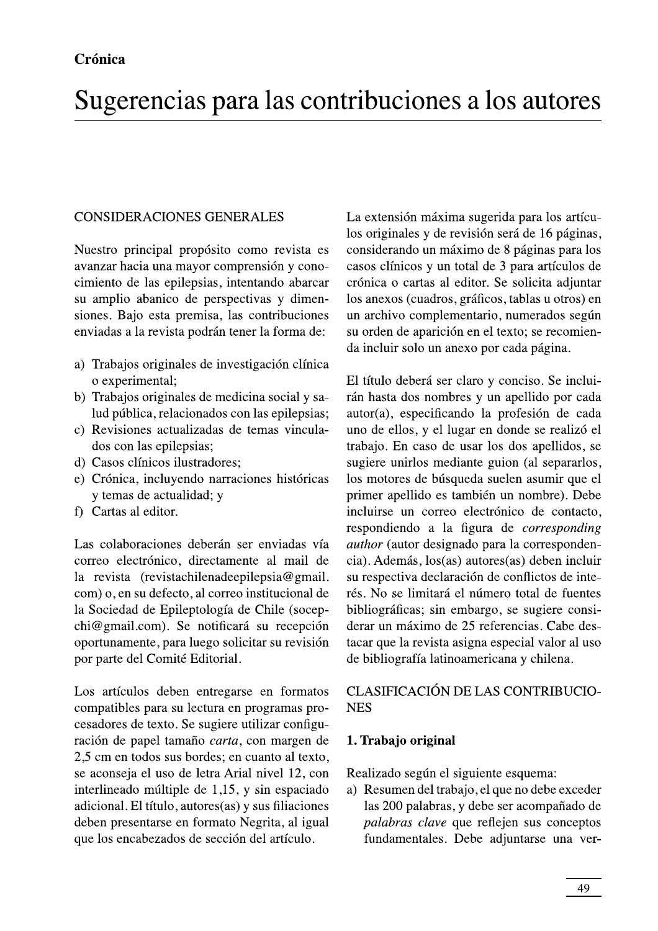### **CONSIDERACIONES GENERALES**

Nuestro principal propósito como revista es avanzar hacia una mayor comprensión y conocimiento de las epilepsias, intentando abarcar su amplio abanico de perspectivas y dimensiones. Bajo esta premisa, las contribuciones enviadas a la revista podrán tener la forma de:

- a) Trabajos originales de investigación clínica o experimental;
- b) Trabajos originales de medicina social y salud pública, relacionados con las epilepsias;
- c) Revisiones actualizadas de temas vinculados con las epilepsias;
- d) Casos clínicos ilustradores;
- e) Crónica, incluyendo narraciones históricas y temas de actualidad; y
- f) Cartas al editor.

Las colaboraciones deberán ser enviadas vía correo electrónico, directamente al mail de la revista (revistachilenadeepilepsia@gmail. com) o, en su defecto, al correo institucional de la Sociedad de Epileptología de Chile (socepchi@gmail.com). Se notificará su recepción oportunamente, para luego solicitar su revisión por parte del Comité Editorial.

Los artículos deben entregarse en formatos compatibles para su lectura en programas procesadores de texto. Se sugiere utilizar configuración de papel tamaño carta, con margen de 2,5 cm en todos sus bordes; en cuanto al texto, se aconseja el uso de letra Arial nivel 12, con interlineado múltiple de 1,15, y sin espaciado adicional. El título, autores(as) y sus filiaciones deben presentarse en formato Negrita, al igual que los encabezados de sección del artículo.

La extensión máxima sugerida para los artículos originales y de revisión será de 16 páginas, considerando un máximo de 8 páginas para los casos clínicos y un total de 3 para artículos de crónica o cartas al editor. Se solicita adjuntar los anexos (cuadros, gráficos, tablas u otros) en un archivo complementario, numerados según su orden de aparición en el texto; se recomienda incluir solo un anexo por cada página.

El título deberá ser claro y conciso. Se incluirán hasta dos nombres y un apellido por cada autor(a), especificando la profesión de cada uno de ellos, y el lugar en donde se realizó el trabajo. En caso de usar los dos apellidos, se sugiere unirlos mediante guion (al separarlos, los motores de búsqueda suelen asumir que el primer apellido es también un nombre). Debe incluirse un correo electrónico de contacto, respondiendo a la figura de *corresponding author* (autor designado para la correspondencia). Además, los(as) autores(as) deben incluir su respectiva declaración de conflictos de interés. No se limitará el número total de fuentes bibliográficas; sin embargo, se sugiere considerar un máximo de 25 referencias. Cabe destacar que la revista asigna especial valor al uso de bibliografía latinoamericana y chilena.

# CLASIFICACIÓN DE LAS CONTRIBUCIO-**NES**

# 1. Trabajo original

Realizado según el siguiente esquema:

a) Resumen del trabajo, el que no debe exceder las 200 palabras, y debe ser acompañado de palabras clave que reflejen sus conceptos fundamentales. Debe adjuntarse una ver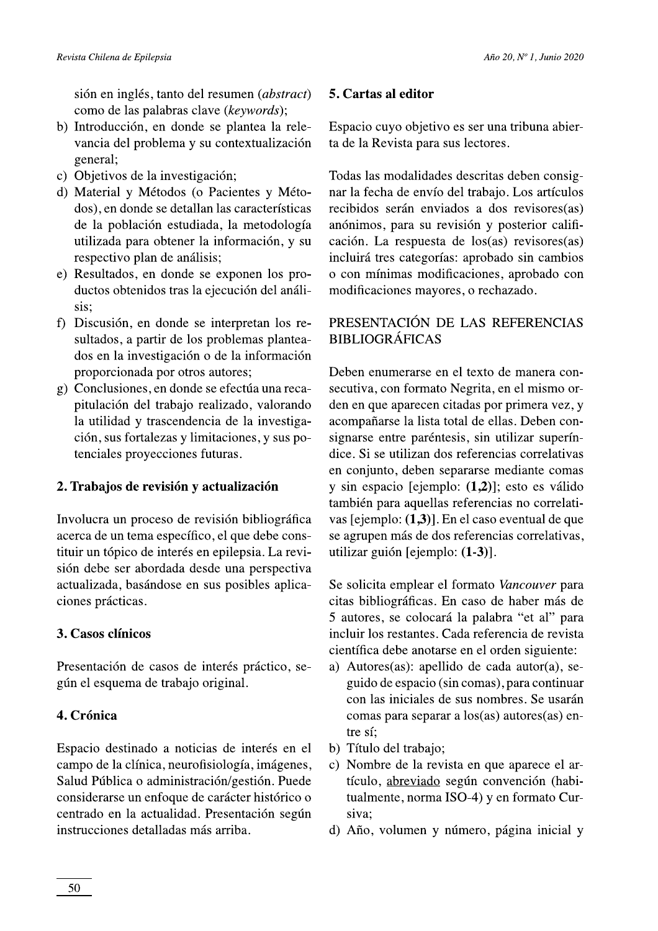sión en inglés, tanto del resumen (*abstract*) como de las palabras clave (keywords);

- b) Introducción, en donde se plantea la relevancia del problema y su contextualización general;
- c) Objetivos de la investigación;
- d) Material y Métodos (o Pacientes y Métodos), en donde se detallan las características de la población estudiada, la metodología utilizada para obtener la información, y su respectivo plan de análisis;
- e) Resultados, en donde se exponen los productos obtenidos tras la ejecución del análisis:
- f) Discusión, en donde se interpretan los resultados, a partir de los problemas planteados en la investigación o de la información proporcionada por otros autores;
- g) Conclusiones, en donde se efectúa una recapitulación del trabajo realizado, valorando la utilidad y trascendencia de la investigación, sus fortalezas y limitaciones, y sus potenciales proyecciones futuras.

#### 2. Trabajos de revisión y actualización

Involucra un proceso de revisión bibliográfica acerca de un tema específico, el que debe constituir un tópico de interés en epilepsia. La revisión debe ser abordada desde una perspectiva actualizada, basándose en sus posibles aplicaciones prácticas.

#### 3. Casos clínicos

Presentación de casos de interés práctico, según el esquema de trabajo original.

#### 4. Crónica

Espacio destinado a noticias de interés en el campo de la clínica, neurofisiología, imágenes, Salud Pública o administración/gestión. Puede considerarse un enfoque de carácter histórico o centrado en la actualidad. Presentación según instrucciones detalladas más arriba.

#### 5. Cartas al editor

Espacio cuyo objetivo es ser una tribuna abierta de la Revista para sus lectores.

Todas las modalidades descritas deben consignar la fecha de envío del trabajo. Los artículos recibidos serán enviados a dos revisores(as) anónimos, para su revisión y posterior calificación. La respuesta de los(as) revisores(as) incluirá tres categorías: aprobado sin cambios o con mínimas modificaciones, aprobado con modificaciones mayores, o rechazado.

### PRESENTACIÓN DE LAS REFERENCIAS **BIBLIOGRÁFICAS**

Deben enumerarse en el texto de manera consecutiva, con formato Negrita, en el mismo orden en que aparecen citadas por primera vez, y acompañarse la lista total de ellas. Deben consignarse entre paréntesis, sin utilizar superíndice. Si se utilizan dos referencias correlativas en conjunto, deben separarse mediante comas y sin espacio [ejemplo:  $(1,2)$ ]; esto es válido también para aquellas referencias no correlativas [ejemplo: (1,3)]. En el caso eventual de que se agrupen más de dos referencias correlativas, utilizar guión [ejemplo: (1-3)].

Se solicita emplear el formato Vancouver para citas bibliográficas. En caso de haber más de 5 autores, se colocará la palabra "et al" para incluir los restantes. Cada referencia de revista científica debe anotarse en el orden siguiente:

- a) Autores(as): apellido de cada autor(a), seguido de espacio (sin comas), para continuar con las iniciales de sus nombres. Se usarán comas para separar a los(as) autores(as) entre sí:
- b) Título del trabajo;
- c) Nombre de la revista en que aparece el artículo, abreviado según convención (habitualmente, norma ISO-4) y en formato Cursiva:
- d) Año, volumen y número, página inicial y